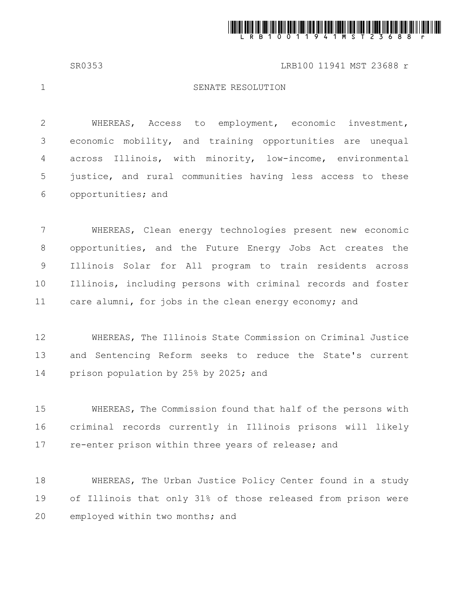

SR0353 LRB100 11941 MST 23688 r

1

## SENATE RESOLUTION

WHEREAS, Access to employment, economic investment, economic mobility, and training opportunities are unequal across Illinois, with minority, low-income, environmental justice, and rural communities having less access to these opportunities; and 2 3 4 5 6

WHEREAS, Clean energy technologies present new economic opportunities, and the Future Energy Jobs Act creates the Illinois Solar for All program to train residents across Illinois, including persons with criminal records and foster care alumni, for jobs in the clean energy economy; and 7 8 9 10 11

WHEREAS, The Illinois State Commission on Criminal Justice and Sentencing Reform seeks to reduce the State's current prison population by 25% by 2025; and 12 13 14

WHEREAS, The Commission found that half of the persons with criminal records currently in Illinois prisons will likely re-enter prison within three years of release; and 15 16 17

WHEREAS, The Urban Justice Policy Center found in a study of Illinois that only 31% of those released from prison were employed within two months; and 18 19 20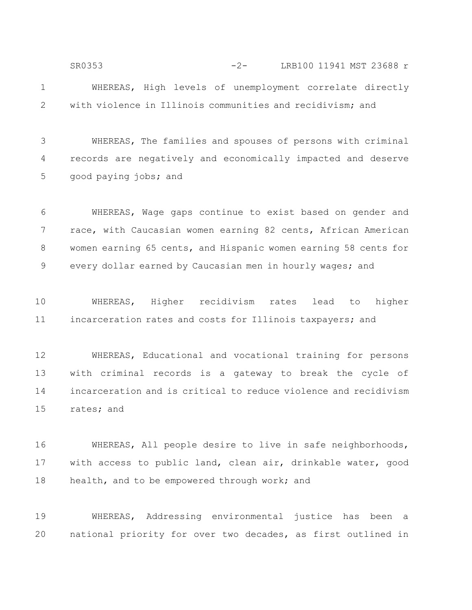WHEREAS, High levels of unemployment correlate directly with violence in Illinois communities and recidivism; and 1 2 SR0353 -2- LRB100 11941 MST 23688 r

WHEREAS, The families and spouses of persons with criminal records are negatively and economically impacted and deserve good paying jobs; and 3 4 5

WHEREAS, Wage gaps continue to exist based on gender and race, with Caucasian women earning 82 cents, African American women earning 65 cents, and Hispanic women earning 58 cents for every dollar earned by Caucasian men in hourly wages; and 6 7 8 9

WHEREAS, Higher recidivism rates lead to higher incarceration rates and costs for Illinois taxpayers; and 10 11

WHEREAS, Educational and vocational training for persons with criminal records is a gateway to break the cycle of incarceration and is critical to reduce violence and recidivism rates; and 12 13 14 15

WHEREAS, All people desire to live in safe neighborhoods, with access to public land, clean air, drinkable water, good health, and to be empowered through work; and 16 17 18

WHEREAS, Addressing environmental justice has been a national priority for over two decades, as first outlined in 19 20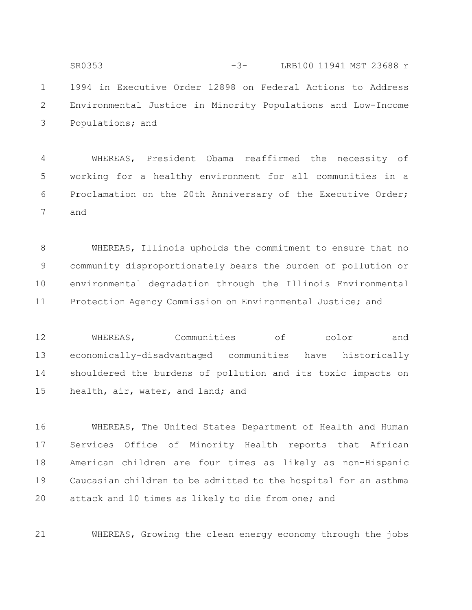1994 in Executive Order 12898 on Federal Actions to Address Environmental Justice in Minority Populations and Low-Income Populations; and 1 2 3 SR0353 -3- LRB100 11941 MST 23688 r

WHEREAS, President Obama reaffirmed the necessity of working for a healthy environment for all communities in a Proclamation on the 20th Anniversary of the Executive Order; and 4 5 6 7

WHEREAS, Illinois upholds the commitment to ensure that no community disproportionately bears the burden of pollution or environmental degradation through the Illinois Environmental Protection Agency Commission on Environmental Justice; and 8 9 10 11

WHEREAS, Communities of color and economically-disadvantaged communities have historically shouldered the burdens of pollution and its toxic impacts on health, air, water, and land; and 12 13 14 15

WHEREAS, The United States Department of Health and Human Services Office of Minority Health reports that African American children are four times as likely as non-Hispanic Caucasian children to be admitted to the hospital for an asthma attack and 10 times as likely to die from one; and 16 17 18 19 20

WHEREAS, Growing the clean energy economy through the jobs 21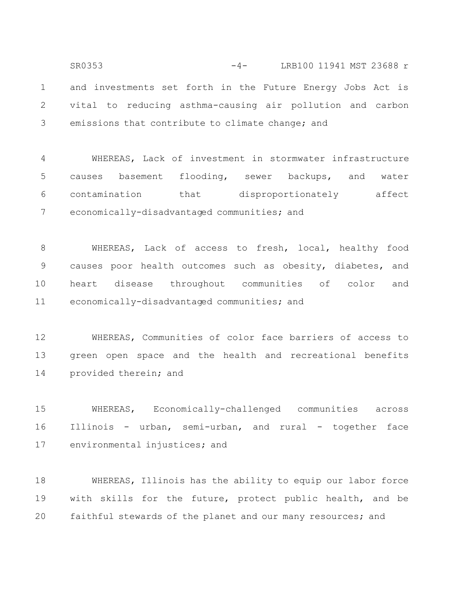and investments set forth in the Future Energy Jobs Act is vital to reducing asthma-causing air pollution and carbon emissions that contribute to climate change; and 1 2 3 SR0353 -4- LRB100 11941 MST 23688 r

WHEREAS, Lack of investment in stormwater infrastructure causes basement flooding, sewer backups, and water contamination that disproportionately affect economically-disadvantaged communities; and 4 5 6 7

WHEREAS, Lack of access to fresh, local, healthy food causes poor health outcomes such as obesity, diabetes, and heart disease throughout communities of color and economically-disadvantaged communities; and 8 9 10 11

WHEREAS, Communities of color face barriers of access to green open space and the health and recreational benefits provided therein; and 12 13 14

WHEREAS, Economically-challenged communities across Illinois - urban, semi-urban, and rural - together face environmental injustices; and 15 16 17

WHEREAS, Illinois has the ability to equip our labor force with skills for the future, protect public health, and be faithful stewards of the planet and our many resources; and 18 19 20